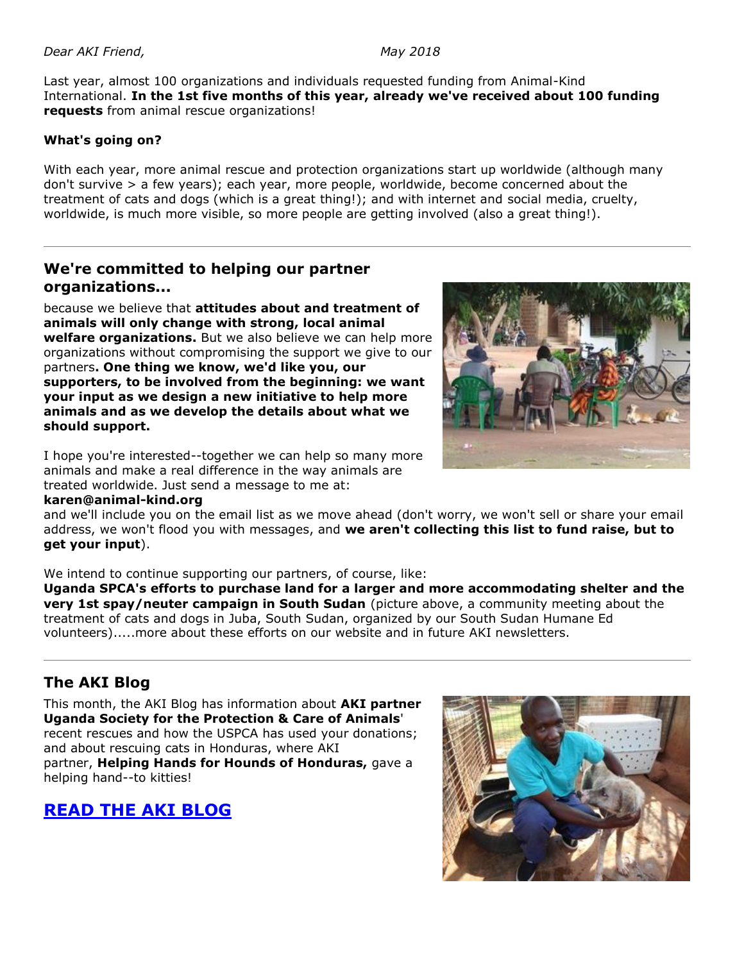Last year, almost 100 organizations and individuals requested funding from Animal-Kind International. **In the 1st five months of this year, already we've received about 100 funding requests** from animal rescue organizations!

#### **What's going on?**

With each year, more animal rescue and protection organizations start up worldwide (although many don't survive > a few years); each year, more people, worldwide, become concerned about the treatment of cats and dogs (which is a great thing!); and with internet and social media, cruelty, worldwide, is much more visible, so more people are getting involved (also a great thing!).

### **We're committed to helping our partner organizations...**

because we believe that **attitudes about and treatment of animals will only change with strong, local animal welfare organizations.** But we also believe we can help more organizations without compromising the support we give to our partners**. One thing we know, we'd like you, our supporters, to be involved from the beginning: we want your input as we design a new initiative to help more animals and as we develop the details about what we should support.**

I hope you're interested--together we can help so many more animals and make a real difference in the way animals are treated worldwide. Just send a message to me at:

#### **karen@animal-kind.org**

and we'll include you on the email list as we move ahead (don't worry, we won't sell or share your email address, we won't flood you with messages, and **we aren't collecting this list to fund raise, but to get your input**).

We intend to continue supporting our partners, of course, like:

**Uganda SPCA's efforts to purchase land for a larger and more accommodating shelter and the very 1st spay/neuter campaign in South Sudan** (picture above, a community meeting about the treatment of cats and dogs in Juba, South Sudan, organized by our South Sudan Humane Ed volunteers).....more about these efforts on our website and in future AKI newsletters.

## **The AKI Blog**

This month, the AKI Blog has information about **AKI partner Uganda Society for the Protection & Care of Animals**' recent rescues and how the USPCA has used your donations; and about rescuing cats in Honduras, where AKI partner, **Helping Hands for Hounds of Honduras,** gave a helping hand--to kitties!

# **[READ THE AKI BLOG](http://cts.vresp.com/c/?AnimalKindInternatio/81470e2970/4d75da415c/dc719fe9f4)**